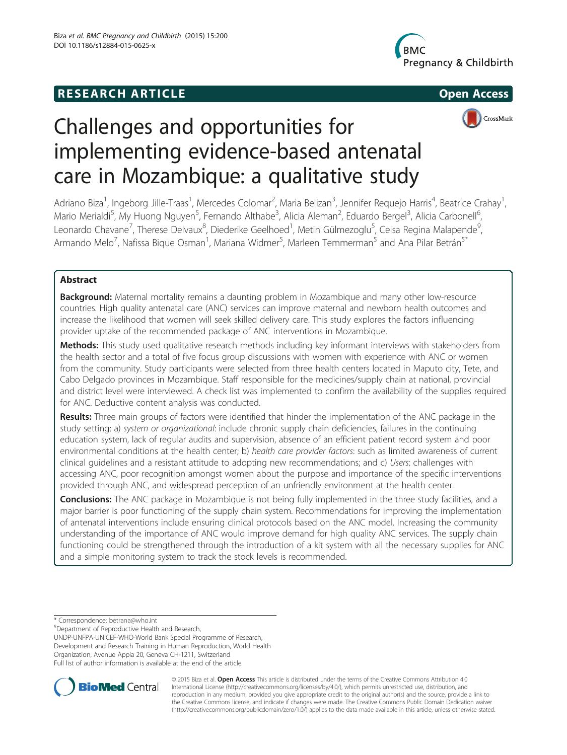# **RESEARCH ARTICLE Example 2014 The SEAR CH ACCESS**







# Challenges and opportunities for implementing evidence-based antenatal care in Mozambique: a qualitative study

Adriano Biza<sup>1</sup>, Ingeborg Jille-Traas<sup>1</sup>, Mercedes Colomar<sup>2</sup>, Maria Belizan<sup>3</sup>, Jennifer Requejo Harris<sup>4</sup>, Beatrice Crahay<sup>1</sup> , Mario Merialdi<sup>5</sup>, My Huong Nguyen<sup>5</sup>, Fernando Althabe<sup>3</sup>, Alicia Aleman<sup>2</sup>, Eduardo Bergel<sup>3</sup>, Alicia Carbonell<sup>6</sup> , Leonardo Chavane<sup>7</sup>, Therese Delvaux<sup>8</sup>, Diederike Geelhoed<sup>1</sup>, Metin Gülmezoglu<sup>5</sup>, Celsa Regina Malapende<sup>9</sup> , Armando Melo<sup>7</sup>, Nafissa Bique Osman<sup>1</sup>, Mariana Widmer<sup>5</sup>, Marleen Temmerman<sup>5</sup> and Ana Pilar Betrán<sup>s\*</sup>

# Abstract

**Background:** Maternal mortality remains a daunting problem in Mozambique and many other low-resource countries. High quality antenatal care (ANC) services can improve maternal and newborn health outcomes and increase the likelihood that women will seek skilled delivery care. This study explores the factors influencing provider uptake of the recommended package of ANC interventions in Mozambique.

Methods: This study used qualitative research methods including key informant interviews with stakeholders from the health sector and a total of five focus group discussions with women with experience with ANC or women from the community. Study participants were selected from three health centers located in Maputo city, Tete, and Cabo Delgado provinces in Mozambique. Staff responsible for the medicines/supply chain at national, provincial and district level were interviewed. A check list was implemented to confirm the availability of the supplies required for ANC. Deductive content analysis was conducted.

Results: Three main groups of factors were identified that hinder the implementation of the ANC package in the study setting: a) system or organizational: include chronic supply chain deficiencies, failures in the continuing education system, lack of regular audits and supervision, absence of an efficient patient record system and poor environmental conditions at the health center; b) health care provider factors: such as limited awareness of current clinical guidelines and a resistant attitude to adopting new recommendations; and c) Users: challenges with accessing ANC, poor recognition amongst women about the purpose and importance of the specific interventions provided through ANC, and widespread perception of an unfriendly environment at the health center.

Conclusions: The ANC package in Mozambique is not being fully implemented in the three study facilities, and a major barrier is poor functioning of the supply chain system. Recommendations for improving the implementation of antenatal interventions include ensuring clinical protocols based on the ANC model. Increasing the community understanding of the importance of ANC would improve demand for high quality ANC services. The supply chain functioning could be strengthened through the introduction of a kit system with all the necessary supplies for ANC and a simple monitoring system to track the stock levels is recommended.

Department of Reproductive Health and Research,

UNDP-UNFPA-UNICEF-WHO-World Bank Special Programme of Research, Development and Research Training in Human Reproduction, World Health Organization, Avenue Appia 20, Geneva CH-1211, Switzerland

Full list of author information is available at the end of the article



© 2015 Biza et al. Open Access This article is distributed under the terms of the Creative Commons Attribution 4.0 International License [\(http://creativecommons.org/licenses/by/4.0/](http://creativecommons.org/licenses/by/4.0/)), which permits unrestricted use, distribution, and reproduction in any medium, provided you give appropriate credit to the original author(s) and the source, provide a link to the Creative Commons license, and indicate if changes were made. The Creative Commons Public Domain Dedication waiver [\(http://creativecommons.org/publicdomain/zero/1.0/](http://creativecommons.org/publicdomain/zero/1.0/)) applies to the data made available in this article, unless otherwise stated.

<sup>\*</sup> Correspondence: [betrana@who.int](mailto:betrana@who.int) <sup>5</sup>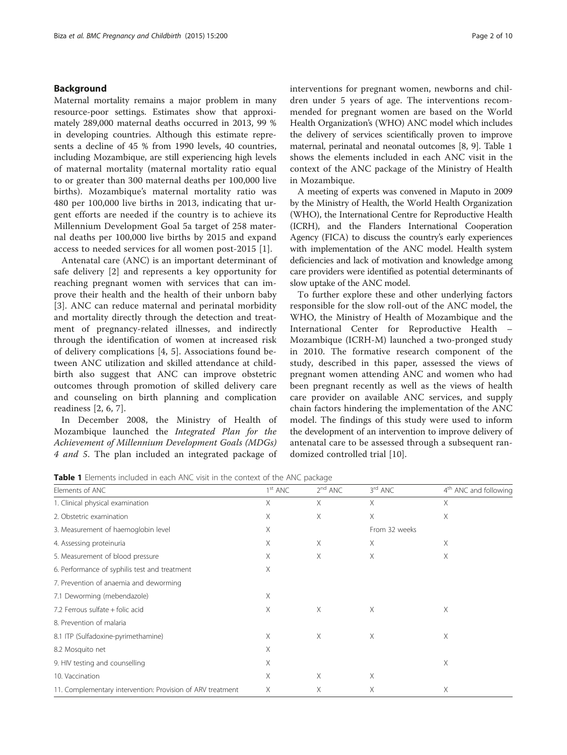# <span id="page-1-0"></span>Background

Maternal mortality remains a major problem in many resource-poor settings. Estimates show that approximately 289,000 maternal deaths occurred in 2013, 99 % in developing countries. Although this estimate represents a decline of 45 % from 1990 levels, 40 countries, including Mozambique, are still experiencing high levels of maternal mortality (maternal mortality ratio equal to or greater than 300 maternal deaths per 100,000 live births). Mozambique's maternal mortality ratio was 480 per 100,000 live births in 2013, indicating that urgent efforts are needed if the country is to achieve its Millennium Development Goal 5a target of 258 maternal deaths per 100,000 live births by 2015 and expand access to needed services for all women post-2015 [[1\]](#page-9-0).

Antenatal care (ANC) is an important determinant of safe delivery [\[2](#page-9-0)] and represents a key opportunity for reaching pregnant women with services that can improve their health and the health of their unborn baby [[3\]](#page-9-0). ANC can reduce maternal and perinatal morbidity and mortality directly through the detection and treatment of pregnancy-related illnesses, and indirectly through the identification of women at increased risk of delivery complications [[4](#page-9-0), [5\]](#page-9-0). Associations found between ANC utilization and skilled attendance at childbirth also suggest that ANC can improve obstetric outcomes through promotion of skilled delivery care and counseling on birth planning and complication readiness [\[2](#page-9-0), [6, 7\]](#page-9-0).

In December 2008, the Ministry of Health of Mozambique launched the Integrated Plan for the Achievement of Millennium Development Goals (MDGs) 4 and 5. The plan included an integrated package of interventions for pregnant women, newborns and children under 5 years of age. The interventions recommended for pregnant women are based on the World Health Organization's (WHO) ANC model which includes the delivery of services scientifically proven to improve maternal, perinatal and neonatal outcomes [[8, 9](#page-9-0)]. Table 1 shows the elements included in each ANC visit in the context of the ANC package of the Ministry of Health in Mozambique.

A meeting of experts was convened in Maputo in 2009 by the Ministry of Health, the World Health Organization (WHO), the International Centre for Reproductive Health (ICRH), and the Flanders International Cooperation Agency (FICA) to discuss the country's early experiences with implementation of the ANC model. Health system deficiencies and lack of motivation and knowledge among care providers were identified as potential determinants of slow uptake of the ANC model.

To further explore these and other underlying factors responsible for the slow roll-out of the ANC model, the WHO, the Ministry of Health of Mozambique and the International Center for Reproductive Health – Mozambique (ICRH-M) launched a two-pronged study in 2010. The formative research component of the study, described in this paper, assessed the views of pregnant women attending ANC and women who had been pregnant recently as well as the views of health care provider on available ANC services, and supply chain factors hindering the implementation of the ANC model. The findings of this study were used to inform the development of an intervention to improve delivery of antenatal care to be assessed through a subsequent randomized controlled trial [[10\]](#page-9-0).

Table 1 Elements included in each ANC visit in the context of the ANC package

| Elements of ANC                                            | $1st$ ANC | $2^{nd}$ ANC | $3rd$ ANC     | 4 <sup>th</sup> ANC and following |
|------------------------------------------------------------|-----------|--------------|---------------|-----------------------------------|
| 1. Clinical physical examination                           | X         | X            | X             | $\times$                          |
| 2. Obstetric examination                                   | X         | X            | $\times$      | $\times$                          |
| 3. Measurement of haemoglobin level                        | X         |              | From 32 weeks |                                   |
| 4. Assessing proteinuria                                   | X         | Χ            | Χ             | Χ                                 |
| 5. Measurement of blood pressure                           | X         | X            | $\times$      | X                                 |
| 6. Performance of syphilis test and treatment              | X         |              |               |                                   |
| 7. Prevention of anaemia and deworming                     |           |              |               |                                   |
| 7.1 Deworming (mebendazole)                                | Χ         |              |               |                                   |
| 7.2 Ferrous sulfate + folic acid                           | X         | X            | X             | Χ                                 |
| 8. Prevention of malaria                                   |           |              |               |                                   |
| 8.1 ITP (Sulfadoxine-pyrimethamine)                        | X         | X            | $\times$      | X                                 |
| 8.2 Mosquito net                                           | X         |              |               |                                   |
| 9. HIV testing and counselling                             | Χ         |              |               | Χ                                 |
| 10. Vaccination                                            | Χ         | X            | Χ             |                                   |
| 11. Complementary intervention: Provision of ARV treatment | X         | X            | X             | X                                 |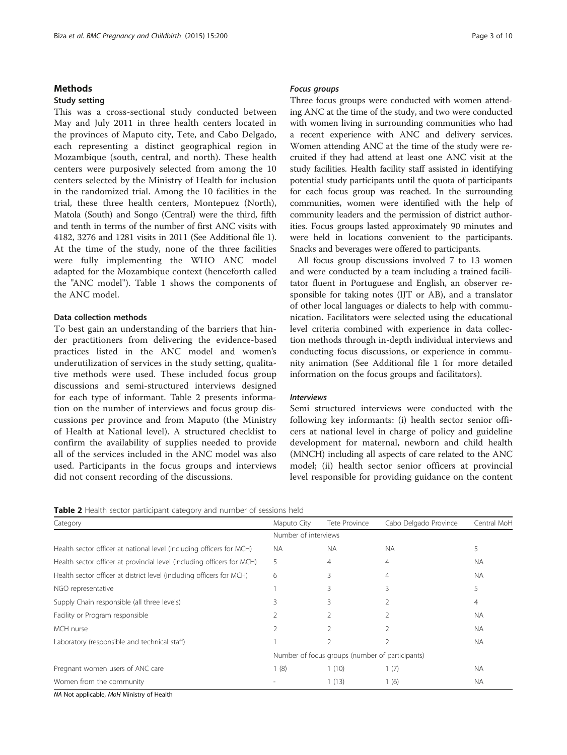# **Methods**

# Study setting

This was a cross-sectional study conducted between May and July 2011 in three health centers located in the provinces of Maputo city, Tete, and Cabo Delgado, each representing a distinct geographical region in Mozambique (south, central, and north). These health centers were purposively selected from among the 10 centers selected by the Ministry of Health for inclusion in the randomized trial. Among the 10 facilities in the trial, these three health centers, Montepuez (North), Matola (South) and Songo (Central) were the third, fifth and tenth in terms of the number of first ANC visits with 4182, 3276 and 1281 visits in 2011 (See Additional file [1](#page-8-0)). At the time of the study, none of the three facilities were fully implementing the WHO ANC model adapted for the Mozambique context (henceforth called the "ANC model"). Table [1](#page-1-0) shows the components of the ANC model.

# Data collection methods

To best gain an understanding of the barriers that hinder practitioners from delivering the evidence-based practices listed in the ANC model and women's underutilization of services in the study setting, qualitative methods were used. These included focus group discussions and semi-structured interviews designed for each type of informant. Table 2 presents information on the number of interviews and focus group discussions per province and from Maputo (the Ministry of Health at National level). A structured checklist to confirm the availability of supplies needed to provide all of the services included in the ANC model was also used. Participants in the focus groups and interviews did not consent recording of the discussions.

| Table 2 Health sector participant category and number of sessions held |  |  |  |
|------------------------------------------------------------------------|--|--|--|
|                                                                        |  |  |  |

| Category                                                               | Maputo City                                     | Tete Province | Cabo Delgado Province | Central MoH |
|------------------------------------------------------------------------|-------------------------------------------------|---------------|-----------------------|-------------|
|                                                                        | Number of interviews                            |               |                       |             |
| Health sector officer at national level (including officers for MCH)   | <b>NA</b>                                       | <b>NA</b>     | <b>NA</b>             | 5           |
| Health sector officer at provincial level (including officers for MCH) | 5                                               | 4             | $\overline{4}$        | <b>NA</b>   |
| Health sector officer at district level (including officers for MCH)   | 6                                               | 3             | 4                     | <b>NA</b>   |
| NGO representative                                                     |                                                 |               | 3                     | 5           |
| Supply Chain responsible (all three levels)                            | 3                                               |               | 2                     | 4           |
| Facility or Program responsible                                        |                                                 |               |                       | <b>NA</b>   |
| MCH nurse                                                              | $\mathfrak{D}$                                  |               | 2                     | <b>NA</b>   |
| Laboratory (responsible and technical staff)                           |                                                 |               | 2                     | <b>NA</b>   |
|                                                                        | Number of focus groups (number of participants) |               |                       |             |
| Pregnant women users of ANC care                                       | 1(8)                                            | 1(10)         | 1(7)                  | <b>NA</b>   |
| Women from the community                                               |                                                 | 1(13)         | 1(6)                  | NA.         |

NA Not applicable, MoH Ministry of Health

## Focus groups

Three focus groups were conducted with women attending ANC at the time of the study, and two were conducted with women living in surrounding communities who had a recent experience with ANC and delivery services. Women attending ANC at the time of the study were recruited if they had attend at least one ANC visit at the study facilities. Health facility staff assisted in identifying potential study participants until the quota of participants for each focus group was reached. In the surrounding communities, women were identified with the help of community leaders and the permission of district authorities. Focus groups lasted approximately 90 minutes and were held in locations convenient to the participants. Snacks and beverages were offered to participants.

All focus group discussions involved 7 to 13 women and were conducted by a team including a trained facilitator fluent in Portuguese and English, an observer responsible for taking notes (IJT or AB), and a translator of other local languages or dialects to help with communication. Facilitators were selected using the educational level criteria combined with experience in data collection methods through in-depth individual interviews and conducting focus discussions, or experience in community animation (See Additional file [1](#page-8-0) for more detailed information on the focus groups and facilitators).

# Interviews

Semi structured interviews were conducted with the following key informants: (i) health sector senior officers at national level in charge of policy and guideline development for maternal, newborn and child health (MNCH) including all aspects of care related to the ANC model; (ii) health sector senior officers at provincial level responsible for providing guidance on the content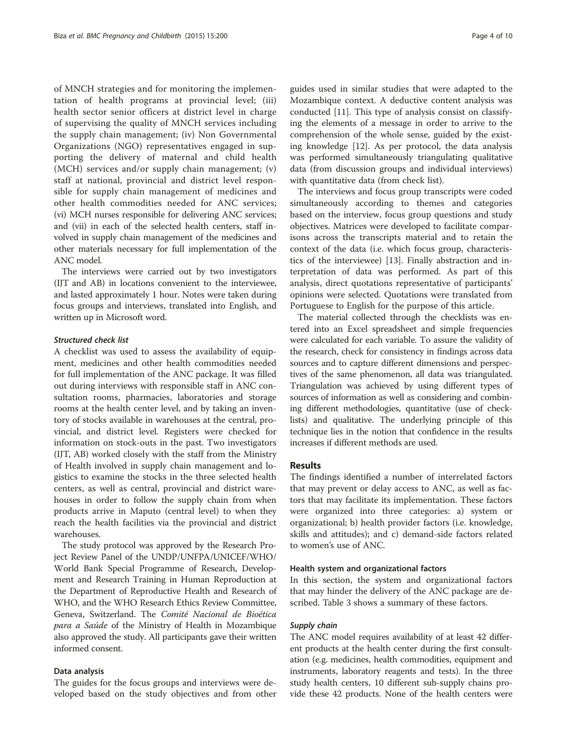of MNCH strategies and for monitoring the implementation of health programs at provincial level; (iii) health sector senior officers at district level in charge of supervising the quality of MNCH services including the supply chain management; (iv) Non Governmental Organizations (NGO) representatives engaged in supporting the delivery of maternal and child health (MCH) services and/or supply chain management; (v) staff at national, provincial and district level responsible for supply chain management of medicines and other health commodities needed for ANC services; (vi) MCH nurses responsible for delivering ANC services; and (vii) in each of the selected health centers, staff involved in supply chain management of the medicines and other materials necessary for full implementation of the ANC model.

The interviews were carried out by two investigators (IJT and AB) in locations convenient to the interviewee, and lasted approximately 1 hour. Notes were taken during focus groups and interviews, translated into English, and written up in Microsoft word.

# Structured check list

A checklist was used to assess the availability of equipment, medicines and other health commodities needed for full implementation of the ANC package. It was filled out during interviews with responsible staff in ANC consultation rooms, pharmacies, laboratories and storage rooms at the health center level, and by taking an inventory of stocks available in warehouses at the central, provincial, and district level. Registers were checked for information on stock-outs in the past. Two investigators (IJT, AB) worked closely with the staff from the Ministry of Health involved in supply chain management and logistics to examine the stocks in the three selected health centers, as well as central, provincial and district warehouses in order to follow the supply chain from when products arrive in Maputo (central level) to when they reach the health facilities via the provincial and district warehouses.

The study protocol was approved by the Research Project Review Panel of the UNDP/UNFPA/UNICEF/WHO/ World Bank Special Programme of Research, Development and Research Training in Human Reproduction at the Department of Reproductive Health and Research of WHO, and the WHO Research Ethics Review Committee, Geneva, Switzerland. The Comité Nacional de Bioética para a Saúde of the Ministry of Health in Mozambique also approved the study. All participants gave their written informed consent.

# Data analysis

The guides for the focus groups and interviews were developed based on the study objectives and from other

guides used in similar studies that were adapted to the Mozambique context. A deductive content analysis was conducted [[11\]](#page-9-0). This type of analysis consist on classifying the elements of a message in order to arrive to the comprehension of the whole sense, guided by the existing knowledge [\[12](#page-9-0)]. As per protocol, the data analysis was performed simultaneously triangulating qualitative data (from discussion groups and individual interviews) with quantitative data (from check list).

The interviews and focus group transcripts were coded simultaneously according to themes and categories based on the interview, focus group questions and study objectives. Matrices were developed to facilitate comparisons across the transcripts material and to retain the context of the data (i.e. which focus group, characteristics of the interviewee) [[13](#page-9-0)]. Finally abstraction and interpretation of data was performed. As part of this analysis, direct quotations representative of participants' opinions were selected. Quotations were translated from Portuguese to English for the purpose of this article.

The material collected through the checklists was entered into an Excel spreadsheet and simple frequencies were calculated for each variable. To assure the validity of the research, check for consistency in findings across data sources and to capture different dimensions and perspectives of the same phenomenon, all data was triangulated. Triangulation was achieved by using different types of sources of information as well as considering and combining different methodologies, quantitative (use of checklists) and qualitative. The underlying principle of this technique lies in the notion that confidence in the results increases if different methods are used.

# Results

The findings identified a number of interrelated factors that may prevent or delay access to ANC, as well as factors that may facilitate its implementation. These factors were organized into three categories: a) system or organizational; b) health provider factors (i.e. knowledge, skills and attitudes); and c) demand-side factors related to women's use of ANC.

#### Health system and organizational factors

In this section, the system and organizational factors that may hinder the delivery of the ANC package are described. Table [3](#page-4-0) shows a summary of these factors.

# Supply chain

The ANC model requires availability of at least 42 different products at the health center during the first consultation (e.g. medicines, health commodities, equipment and instruments, laboratory reagents and tests). In the three study health centers, 10 different sub-supply chains provide these 42 products. None of the health centers were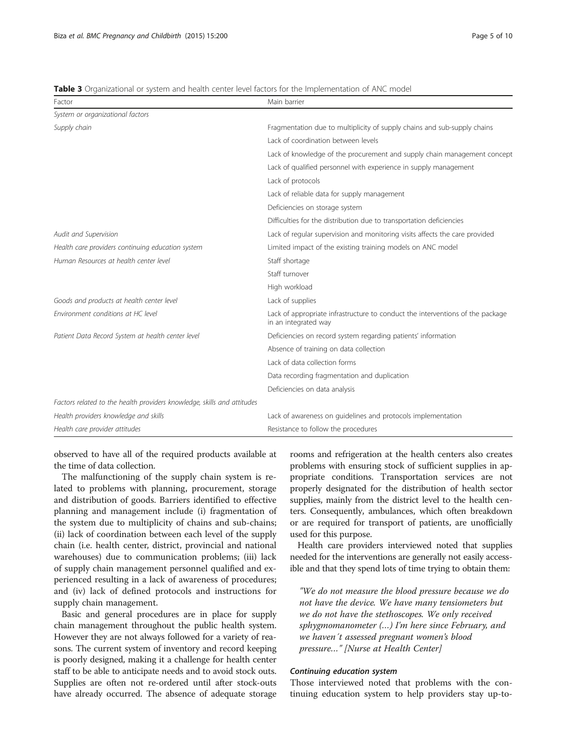<span id="page-4-0"></span>

| <b>Table 3</b> Organizational or system and health center level factors for the Implementation of ANC model |  |
|-------------------------------------------------------------------------------------------------------------|--|
|-------------------------------------------------------------------------------------------------------------|--|

| Factor                                                                  | Main barrier                                                                                           |  |  |
|-------------------------------------------------------------------------|--------------------------------------------------------------------------------------------------------|--|--|
| System or organizational factors                                        |                                                                                                        |  |  |
| Supply chain                                                            | Fragmentation due to multiplicity of supply chains and sub-supply chains                               |  |  |
|                                                                         | Lack of coordination between levels                                                                    |  |  |
|                                                                         | Lack of knowledge of the procurement and supply chain management concept                               |  |  |
|                                                                         | Lack of qualified personnel with experience in supply management                                       |  |  |
|                                                                         | Lack of protocols                                                                                      |  |  |
|                                                                         | Lack of reliable data for supply management                                                            |  |  |
|                                                                         | Deficiencies on storage system                                                                         |  |  |
|                                                                         | Difficulties for the distribution due to transportation deficiencies                                   |  |  |
| Audit and Supervision                                                   | Lack of regular supervision and monitoring visits affects the care provided                            |  |  |
| Health care providers continuing education system                       | Limited impact of the existing training models on ANC model                                            |  |  |
| Human Resources at health center level                                  | Staff shortage                                                                                         |  |  |
|                                                                         | Staff turnover                                                                                         |  |  |
|                                                                         | High workload                                                                                          |  |  |
| Goods and products at health center level                               | Lack of supplies                                                                                       |  |  |
| Environment conditions at HC level                                      | Lack of appropriate infrastructure to conduct the interventions of the package<br>in an integrated way |  |  |
| Patient Data Record System at health center level                       | Deficiencies on record system regarding patients' information                                          |  |  |
|                                                                         | Absence of training on data collection                                                                 |  |  |
|                                                                         | Lack of data collection forms                                                                          |  |  |
|                                                                         | Data recording fragmentation and duplication                                                           |  |  |
|                                                                         | Deficiencies on data analysis                                                                          |  |  |
| Factors related to the health providers knowledge, skills and attitudes |                                                                                                        |  |  |
| Health providers knowledge and skills                                   | Lack of awareness on quidelines and protocols implementation                                           |  |  |
| Health care provider attitudes                                          | Resistance to follow the procedures                                                                    |  |  |

observed to have all of the required products available at the time of data collection.

The malfunctioning of the supply chain system is related to problems with planning, procurement, storage and distribution of goods. Barriers identified to effective planning and management include (i) fragmentation of the system due to multiplicity of chains and sub-chains; (ii) lack of coordination between each level of the supply chain (i.e. health center, district, provincial and national warehouses) due to communication problems; (iii) lack of supply chain management personnel qualified and experienced resulting in a lack of awareness of procedures; and (iv) lack of defined protocols and instructions for supply chain management.

Basic and general procedures are in place for supply chain management throughout the public health system. However they are not always followed for a variety of reasons. The current system of inventory and record keeping is poorly designed, making it a challenge for health center staff to be able to anticipate needs and to avoid stock outs. Supplies are often not re-ordered until after stock-outs have already occurred. The absence of adequate storage rooms and refrigeration at the health centers also creates problems with ensuring stock of sufficient supplies in appropriate conditions. Transportation services are not properly designated for the distribution of health sector supplies, mainly from the district level to the health centers. Consequently, ambulances, which often breakdown or are required for transport of patients, are unofficially used for this purpose.

Health care providers interviewed noted that supplies needed for the interventions are generally not easily accessible and that they spend lots of time trying to obtain them:

"We do not measure the blood pressure because we do not have the device. We have many tensiometers but we do not have the stethoscopes. We only received sphygmomanometer (…) I'm here since February, and we haven´t assessed pregnant women's blood pressure…" [Nurse at Health Center]

# Continuing education system

Those interviewed noted that problems with the continuing education system to help providers stay up-to-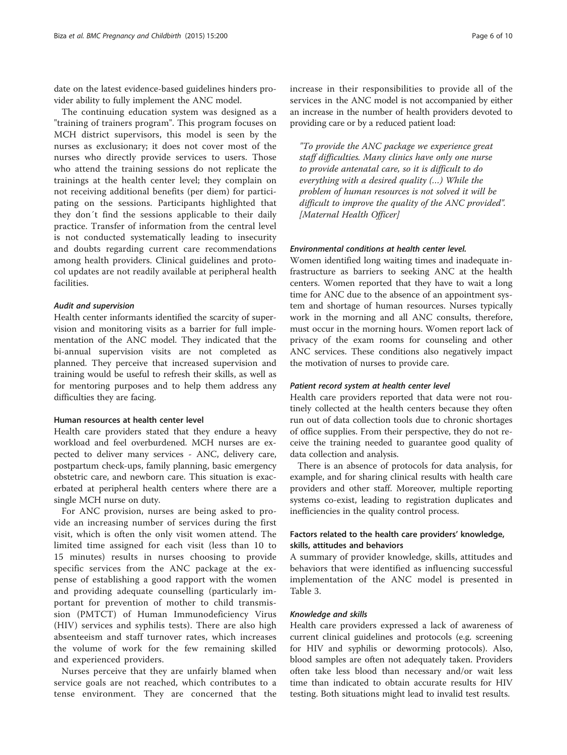date on the latest evidence-based guidelines hinders provider ability to fully implement the ANC model.

The continuing education system was designed as a "training of trainers program". This program focuses on MCH district supervisors, this model is seen by the nurses as exclusionary; it does not cover most of the nurses who directly provide services to users. Those who attend the training sessions do not replicate the trainings at the health center level; they complain on not receiving additional benefits (per diem) for participating on the sessions. Participants highlighted that they don´t find the sessions applicable to their daily practice. Transfer of information from the central level is not conducted systematically leading to insecurity and doubts regarding current care recommendations among health providers. Clinical guidelines and protocol updates are not readily available at peripheral health facilities.

# Audit and supervision

Health center informants identified the scarcity of supervision and monitoring visits as a barrier for full implementation of the ANC model. They indicated that the bi-annual supervision visits are not completed as planned. They perceive that increased supervision and training would be useful to refresh their skills, as well as for mentoring purposes and to help them address any difficulties they are facing.

#### Human resources at health center level

Health care providers stated that they endure a heavy workload and feel overburdened. MCH nurses are expected to deliver many services - ANC, delivery care, postpartum check-ups, family planning, basic emergency obstetric care, and newborn care. This situation is exacerbated at peripheral health centers where there are a single MCH nurse on duty.

For ANC provision, nurses are being asked to provide an increasing number of services during the first visit, which is often the only visit women attend. The limited time assigned for each visit (less than 10 to 15 minutes) results in nurses choosing to provide specific services from the ANC package at the expense of establishing a good rapport with the women and providing adequate counselling (particularly important for prevention of mother to child transmission (PMTCT) of Human Immunodeficiency Virus (HIV) services and syphilis tests). There are also high absenteeism and staff turnover rates, which increases the volume of work for the few remaining skilled and experienced providers.

Nurses perceive that they are unfairly blamed when service goals are not reached, which contributes to a tense environment. They are concerned that the increase in their responsibilities to provide all of the services in the ANC model is not accompanied by either an increase in the number of health providers devoted to providing care or by a reduced patient load:

"To provide the ANC package we experience great staff difficulties. Many clinics have only one nurse to provide antenatal care, so it is difficult to do everything with a desired quality (…) While the problem of human resources is not solved it will be difficult to improve the quality of the ANC provided". [Maternal Health Officer]

# Environmental conditions at health center level.

Women identified long waiting times and inadequate infrastructure as barriers to seeking ANC at the health centers. Women reported that they have to wait a long time for ANC due to the absence of an appointment system and shortage of human resources. Nurses typically work in the morning and all ANC consults, therefore, must occur in the morning hours. Women report lack of privacy of the exam rooms for counseling and other ANC services. These conditions also negatively impact the motivation of nurses to provide care.

# Patient record system at health center level

Health care providers reported that data were not routinely collected at the health centers because they often run out of data collection tools due to chronic shortages of office supplies. From their perspective, they do not receive the training needed to guarantee good quality of data collection and analysis.

There is an absence of protocols for data analysis, for example, and for sharing clinical results with health care providers and other staff. Moreover, multiple reporting systems co-exist, leading to registration duplicates and inefficiencies in the quality control process.

# Factors related to the health care providers' knowledge, skills, attitudes and behaviors

A summary of provider knowledge, skills, attitudes and behaviors that were identified as influencing successful implementation of the ANC model is presented in Table [3](#page-4-0).

# Knowledge and skills

Health care providers expressed a lack of awareness of current clinical guidelines and protocols (e.g. screening for HIV and syphilis or deworming protocols). Also, blood samples are often not adequately taken. Providers often take less blood than necessary and/or wait less time than indicated to obtain accurate results for HIV testing. Both situations might lead to invalid test results.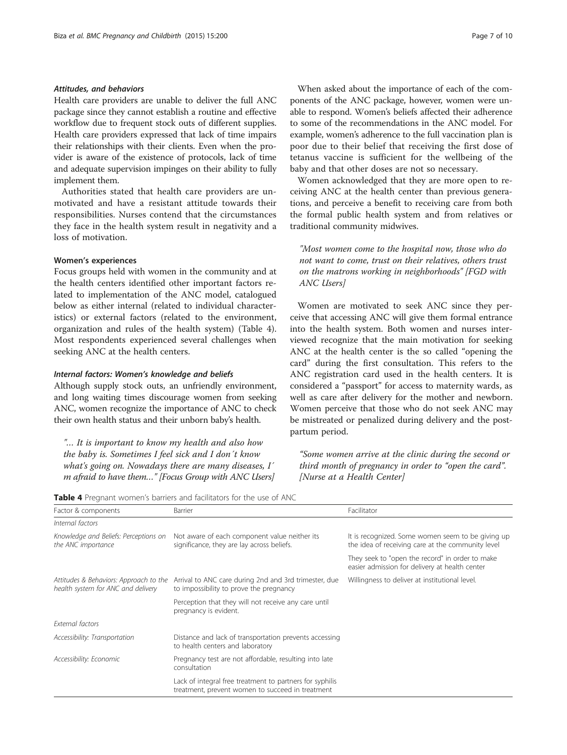# Attitudes, and behaviors

Health care providers are unable to deliver the full ANC package since they cannot establish a routine and effective workflow due to frequent stock outs of different supplies. Health care providers expressed that lack of time impairs their relationships with their clients. Even when the provider is aware of the existence of protocols, lack of time and adequate supervision impinges on their ability to fully implement them.

Authorities stated that health care providers are unmotivated and have a resistant attitude towards their responsibilities. Nurses contend that the circumstances they face in the health system result in negativity and a loss of motivation.

# Women's experiences

Focus groups held with women in the community and at the health centers identified other important factors related to implementation of the ANC model, catalogued below as either internal (related to individual characteristics) or external factors (related to the environment, organization and rules of the health system) (Table 4). Most respondents experienced several challenges when seeking ANC at the health centers.

# Internal factors: Women's knowledge and beliefs

Although supply stock outs, an unfriendly environment, and long waiting times discourage women from seeking ANC, women recognize the importance of ANC to check their own health status and their unborn baby's health.

"… It is important to know my health and also how the baby is. Sometimes I feel sick and I don´t know what's going on. Nowadays there are many diseases, I' m afraid to have them…" [Focus Group with ANC Users]

When asked about the importance of each of the components of the ANC package, however, women were unable to respond. Women's beliefs affected their adherence to some of the recommendations in the ANC model. For example, women's adherence to the full vaccination plan is poor due to their belief that receiving the first dose of tetanus vaccine is sufficient for the wellbeing of the baby and that other doses are not so necessary.

Women acknowledged that they are more open to receiving ANC at the health center than previous generations, and perceive a benefit to receiving care from both the formal public health system and from relatives or traditional community midwives.

"Most women come to the hospital now, those who do not want to come, trust on their relatives, others trust on the matrons working in neighborhoods" [FGD with ANC Users]

Women are motivated to seek ANC since they perceive that accessing ANC will give them formal entrance into the health system. Both women and nurses interviewed recognize that the main motivation for seeking ANC at the health center is the so called "opening the card" during the first consultation. This refers to the ANC registration card used in the health centers. It is considered a "passport" for access to maternity wards, as well as care after delivery for the mother and newborn. Women perceive that those who do not seek ANC may be mistreated or penalized during delivery and the postpartum period.

"Some women arrive at the clinic during the second or third month of pregnancy in order to "open the card". [Nurse at a Health Center]

Table 4 Pregnant women's barriers and facilitators for the use of ANC

| Factor & components                                                          | Barrier                                                                                                      | Facilitator                                                                                            |
|------------------------------------------------------------------------------|--------------------------------------------------------------------------------------------------------------|--------------------------------------------------------------------------------------------------------|
| Internal factors                                                             |                                                                                                              |                                                                                                        |
| Knowledge and Beliefs: Perceptions on<br>the ANC importance                  | Not aware of each component value neither its<br>significance, they are lay across beliefs.                  | It is recognized. Some women seem to be giving up<br>the idea of receiving care at the community level |
|                                                                              |                                                                                                              | They seek to "open the record" in order to make<br>easier admission for delivery at health center      |
| Attitudes & Behaviors: Approach to the<br>health system for ANC and delivery | Arrival to ANC care during 2nd and 3rd trimester, due<br>to impossibility to prove the pregnancy             | Willingness to deliver at institutional level.                                                         |
|                                                                              | Perception that they will not receive any care until<br>pregnancy is evident.                                |                                                                                                        |
| <b>External factors</b>                                                      |                                                                                                              |                                                                                                        |
| Accessibility: Transportation                                                | Distance and lack of transportation prevents accessing<br>to health centers and laboratory                   |                                                                                                        |
| Accessibility: Economic                                                      | Pregnancy test are not affordable, resulting into late<br>consultation                                       |                                                                                                        |
|                                                                              | Lack of integral free treatment to partners for syphilis<br>treatment, prevent women to succeed in treatment |                                                                                                        |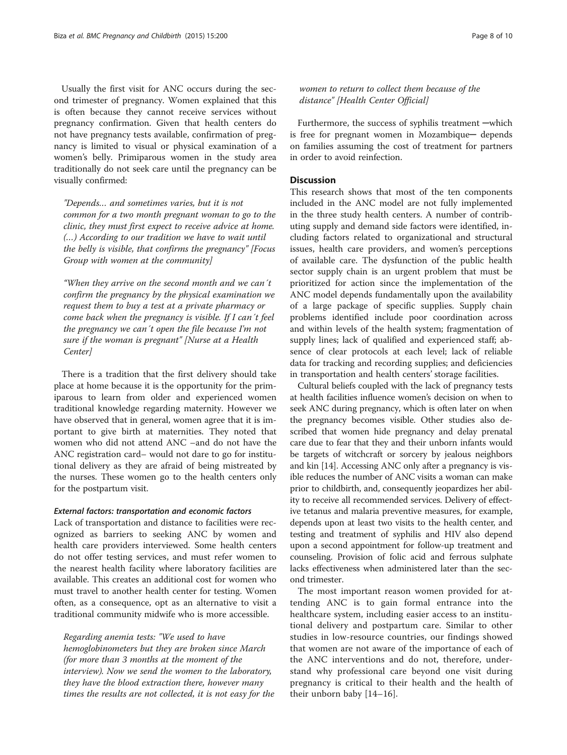Usually the first visit for ANC occurs during the second trimester of pregnancy. Women explained that this is often because they cannot receive services without pregnancy confirmation. Given that health centers do not have pregnancy tests available, confirmation of pregnancy is limited to visual or physical examination of a women's belly. Primiparous women in the study area traditionally do not seek care until the pregnancy can be visually confirmed:

"Depends… and sometimes varies, but it is not common for a two month pregnant woman to go to the clinic, they must first expect to receive advice at home. (…) According to our tradition we have to wait until the belly is visible, that confirms the pregnancy" [Focus Group with women at the community]

"When they arrive on the second month and we can´t confirm the pregnancy by the physical examination we request them to buy a test at a private pharmacy or come back when the pregnancy is visible. If I can´t feel the pregnancy we can´t open the file because I'm not sure if the woman is pregnant" [Nurse at a Health Center]

There is a tradition that the first delivery should take place at home because it is the opportunity for the primiparous to learn from older and experienced women traditional knowledge regarding maternity. However we have observed that in general, women agree that it is important to give birth at maternities. They noted that women who did not attend ANC –and do not have the ANC registration card– would not dare to go for institutional delivery as they are afraid of being mistreated by the nurses. These women go to the health centers only for the postpartum visit.

#### External factors: transportation and economic factors

Lack of transportation and distance to facilities were recognized as barriers to seeking ANC by women and health care providers interviewed. Some health centers do not offer testing services, and must refer women to the nearest health facility where laboratory facilities are available. This creates an additional cost for women who must travel to another health center for testing. Women often, as a consequence, opt as an alternative to visit a traditional community midwife who is more accessible.

Regarding anemia tests: "We used to have hemoglobinometers but they are broken since March (for more than 3 months at the moment of the interview). Now we send the women to the laboratory, they have the blood extraction there, however many times the results are not collected, it is not easy for the women to return to collect them because of the distance" [Health Center Official]

Furthermore, the success of syphilis treatment —which is free for pregnant women in Mozambique— depends on families assuming the cost of treatment for partners in order to avoid reinfection.

# Discussion

This research shows that most of the ten components included in the ANC model are not fully implemented in the three study health centers. A number of contributing supply and demand side factors were identified, including factors related to organizational and structural issues, health care providers, and women's perceptions of available care. The dysfunction of the public health sector supply chain is an urgent problem that must be prioritized for action since the implementation of the ANC model depends fundamentally upon the availability of a large package of specific supplies. Supply chain problems identified include poor coordination across and within levels of the health system; fragmentation of supply lines; lack of qualified and experienced staff; absence of clear protocols at each level; lack of reliable data for tracking and recording supplies; and deficiencies in transportation and health centers' storage facilities.

Cultural beliefs coupled with the lack of pregnancy tests at health facilities influence women's decision on when to seek ANC during pregnancy, which is often later on when the pregnancy becomes visible. Other studies also described that women hide pregnancy and delay prenatal care due to fear that they and their unborn infants would be targets of witchcraft or sorcery by jealous neighbors and kin [[14](#page-9-0)]. Accessing ANC only after a pregnancy is visible reduces the number of ANC visits a woman can make prior to childbirth, and, consequently jeopardizes her ability to receive all recommended services. Delivery of effective tetanus and malaria preventive measures, for example, depends upon at least two visits to the health center, and testing and treatment of syphilis and HIV also depend upon a second appointment for follow-up treatment and counseling. Provision of folic acid and ferrous sulphate lacks effectiveness when administered later than the second trimester.

The most important reason women provided for attending ANC is to gain formal entrance into the healthcare system, including easier access to an institutional delivery and postpartum care. Similar to other studies in low-resource countries, our findings showed that women are not aware of the importance of each of the ANC interventions and do not, therefore, understand why professional care beyond one visit during pregnancy is critical to their health and the health of their unborn baby [[14](#page-9-0)–[16\]](#page-9-0).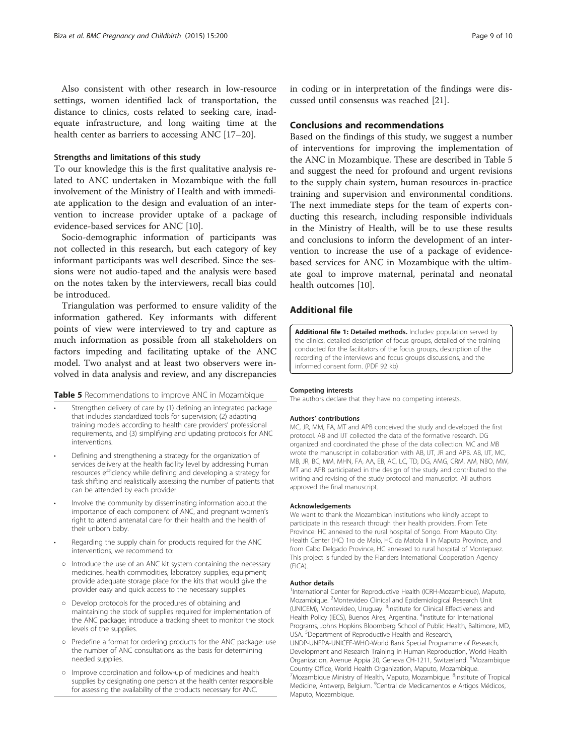<span id="page-8-0"></span>Also consistent with other research in low-resource settings, women identified lack of transportation, the distance to clinics, costs related to seeking care, inadequate infrastructure, and long waiting time at the health center as barriers to accessing ANC [[17](#page-9-0)–[20\]](#page-9-0).

## Strengths and limitations of this study

To our knowledge this is the first qualitative analysis related to ANC undertaken in Mozambique with the full involvement of the Ministry of Health and with immediate application to the design and evaluation of an intervention to increase provider uptake of a package of evidence-based services for ANC [\[10](#page-9-0)].

Socio-demographic information of participants was not collected in this research, but each category of key informant participants was well described. Since the sessions were not audio-taped and the analysis were based on the notes taken by the interviewers, recall bias could be introduced.

Triangulation was performed to ensure validity of the information gathered. Key informants with different points of view were interviewed to try and capture as much information as possible from all stakeholders on factors impeding and facilitating uptake of the ANC model. Two analyst and at least two observers were involved in data analysis and review, and any discrepancies

Table 5 Recommendations to improve ANC in Mozambique

- Strengthen delivery of care by (1) defining an integrated package that includes standardized tools for supervision; (2) adapting training models according to health care providers' professional requirements, and (3) simplifying and updating protocols for ANC interventions.
- Defining and strengthening a strategy for the organization of services delivery at the health facility level by addressing human resources efficiency while defining and developing a strategy for task shifting and realistically assessing the number of patients that can be attended by each provider.
- Involve the community by disseminating information about the importance of each component of ANC, and pregnant women's right to attend antenatal care for their health and the health of their unborn baby.
- Regarding the supply chain for products required for the ANC interventions, we recommend to:
- Introduce the use of an ANC kit system containing the necessary medicines, health commodities, laboratory supplies, equipment; provide adequate storage place for the kits that would give the provider easy and quick access to the necessary supplies.
- Develop protocols for the procedures of obtaining and maintaining the stock of supplies required for implementation of the ANC package; introduce a tracking sheet to monitor the stock levels of the supplies.
- Predefine a format for ordering products for the ANC package: use the number of ANC consultations as the basis for determining needed supplies.
- Improve coordination and follow-up of medicines and health supplies by designating one person at the health center responsible for assessing the availability of the products necessary for ANC.

in coding or in interpretation of the findings were discussed until consensus was reached [[21\]](#page-9-0).

# Conclusions and recommendations

Based on the findings of this study, we suggest a number of interventions for improving the implementation of the ANC in Mozambique. These are described in Table 5 and suggest the need for profound and urgent revisions to the supply chain system, human resources in-practice training and supervision and environmental conditions. The next immediate steps for the team of experts conducting this research, including responsible individuals in the Ministry of Health, will be to use these results and conclusions to inform the development of an intervention to increase the use of a package of evidencebased services for ANC in Mozambique with the ultimate goal to improve maternal, perinatal and neonatal health outcomes [\[10](#page-9-0)].

# Additional file

[Additional file 1:](http://www.biomedcentral.com/content/supplementary/s12884-015-0625-x-s1.pdf) Detailed methods. Includes: population served by the clinics, detailed description of focus groups, detailed of the training conducted for the facilitators of the focus groups, description of the recording of the interviews and focus groups discussions, and the informed consent form. (PDF 92 kb)

#### Competing interests

The authors declare that they have no competing interests.

#### Authors' contributions

MC, JR, MM, FA, MT and APB conceived the study and developed the first protocol. AB and IJT collected the data of the formative research. DG organized and coordinated the phase of the data collection. MC and MB wrote the manuscript in collaboration with AB, IJT, JR and APB. AB, IJT, MC, MB, JR, BC, MM, MHN, FA, AA, EB, AC, LC, TD, DG, AMG, CRM, AM, NBO, MW, MT and APB participated in the design of the study and contributed to the writing and revising of the study protocol and manuscript. All authors approved the final manuscript.

#### Acknowledgements

We want to thank the Mozambican institutions who kindly accept to participate in this research through their health providers. From Tete Province: HC annexed to the rural hospital of Songo. From Maputo City: Health Center (HC) 1ro de Maio, HC da Matola II in Maputo Province, and from Cabo Delgado Province, HC annexed to rural hospital of Montepuez. This project is funded by the Flanders International Cooperation Agency (FICA).

#### Author details

<sup>1</sup>International Center for Reproductive Health (ICRH-Mozambique), Maputo, Mozambique. <sup>2</sup>Montevideo Clinical and Epidemiological Research Unit (UNICEM), Montevideo, Uruguay. <sup>3</sup>Institute for Clinical Effectiveness and Health Policy (IECS), Buenos Aires, Argentina. <sup>4</sup>Institute for International Programs, Johns Hopkins Bloomberg School of Public Health, Baltimore, MD, USA. <sup>5</sup>Department of Reproductive Health and Research, UNDP-UNFPA-UNICEF-WHO-World Bank Special Programme of Research, Development and Research Training in Human Reproduction, World Health Organization, Avenue Appia 20, Geneva CH-1211, Switzerland. <sup>6</sup>Mozambique Country Office, World Health Organization, Maputo, Mozambique. <sup>7</sup>Mozambique Ministry of Health, Maputo, Mozambique. <sup>8</sup>Institute of Tropical Medicine, Antwerp, Belgium. <sup>9</sup>Central de Medicamentos e Artigos Médicos Maputo, Mozambique.